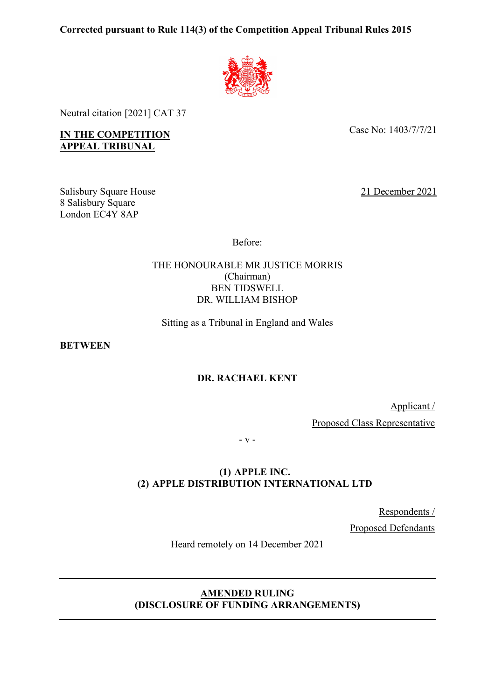# **Corrected pursuant to Rule 114(3) of the Competition Appeal Tribunal Rules 2015**



Neutral citation [2021] CAT 37

**IN THE COMPETITION APPEAL TRIBUNAL**

Case No: 1403/7/7/21

Salisbury Square House 8 Salisbury Square London EC4Y 8AP

21 December 2021

Before:

## THE HONOURABLE MR JUSTICE MORRIS (Chairman) BEN TIDSWELL DR. WILLIAM BISHOP

Sitting as a Tribunal in England and Wales

**BETWEEN**

# **DR. RACHAEL KENT**

Applicant /

Proposed Class Representative

- v -

# **(1) APPLE INC. (2) APPLE DISTRIBUTION INTERNATIONAL LTD**

Respondents / Proposed Defendants

Heard remotely on 14 December 2021

# **AMENDED RULING (DISCLOSURE OF FUNDING ARRANGEMENTS)**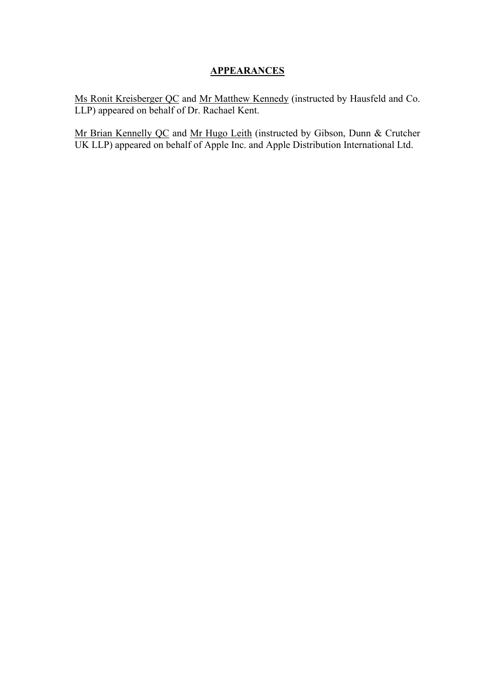# **APPEARANCES**

Ms Ronit Kreisberger QC and Mr Matthew Kennedy (instructed by Hausfeld and Co. LLP) appeared on behalf of Dr. Rachael Kent.

Mr Brian Kennelly QC and Mr Hugo Leith (instructed by Gibson, Dunn & Crutcher UK LLP) appeared on behalf of Apple Inc. and Apple Distribution International Ltd.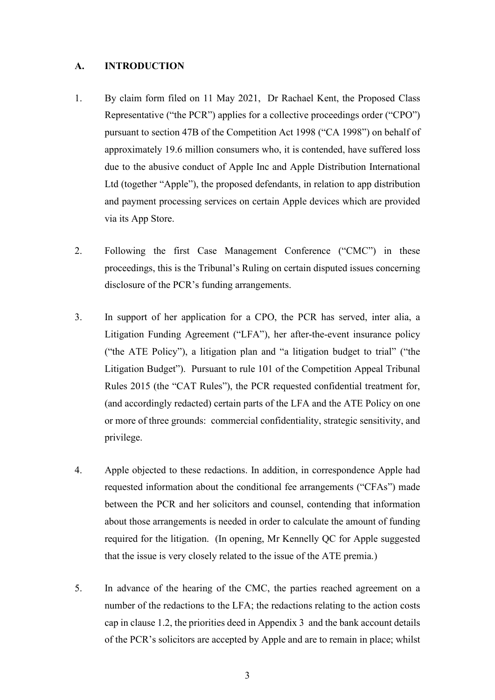#### **A. INTRODUCTION**

- 1. By claim form filed on 11 May 2021, Dr Rachael Kent, the Proposed Class Representative ("the PCR") applies for a collective proceedings order ("CPO") pursuant to section 47B of the Competition Act 1998 ("CA 1998") on behalf of approximately 19.6 million consumers who, it is contended, have suffered loss due to the abusive conduct of Apple Inc and Apple Distribution International Ltd (together "Apple"), the proposed defendants, in relation to app distribution and payment processing services on certain Apple devices which are provided via its App Store.
- 2. Following the first Case Management Conference ("CMC") in these proceedings, this is the Tribunal's Ruling on certain disputed issues concerning disclosure of the PCR's funding arrangements.
- 3. In support of her application for a CPO, the PCR has served, inter alia, a Litigation Funding Agreement ("LFA"), her after-the-event insurance policy ("the ATE Policy"), a litigation plan and "a litigation budget to trial" ("the Litigation Budget"). Pursuant to rule 101 of the Competition Appeal Tribunal Rules 2015 (the "CAT Rules"), the PCR requested confidential treatment for, (and accordingly redacted) certain parts of the LFA and the ATE Policy on one or more of three grounds: commercial confidentiality, strategic sensitivity, and privilege.
- 4. Apple objected to these redactions. In addition, in correspondence Apple had requested information about the conditional fee arrangements ("CFAs") made between the PCR and her solicitors and counsel, contending that information about those arrangements is needed in order to calculate the amount of funding required for the litigation. (In opening, Mr Kennelly QC for Apple suggested that the issue is very closely related to the issue of the ATE premia.)
- 5. In advance of the hearing of the CMC, the parties reached agreement on a number of the redactions to the LFA; the redactions relating to the action costs cap in clause 1.2, the priorities deed in Appendix 3 and the bank account details of the PCR's solicitors are accepted by Apple and are to remain in place; whilst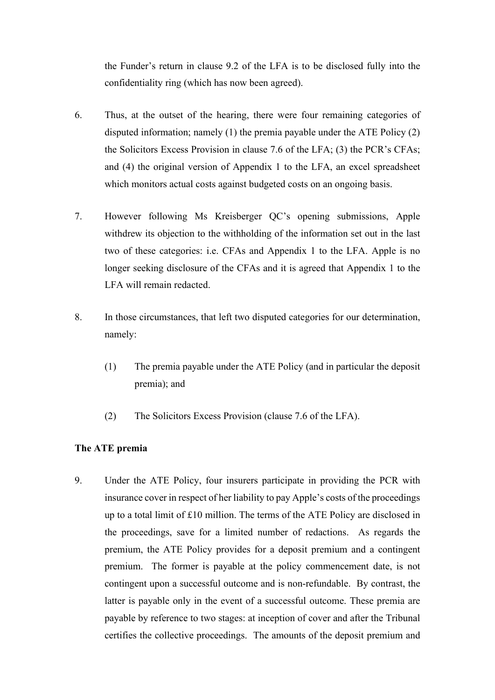the Funder's return in clause 9.2 of the LFA is to be disclosed fully into the confidentiality ring (which has now been agreed).

- 6. Thus, at the outset of the hearing, there were four remaining categories of disputed information; namely (1) the premia payable under the ATE Policy (2) the Solicitors Excess Provision in clause 7.6 of the LFA; (3) the PCR's CFAs; and (4) the original version of Appendix 1 to the LFA, an excel spreadsheet which monitors actual costs against budgeted costs on an ongoing basis.
- 7. However following Ms Kreisberger QC's opening submissions, Apple withdrew its objection to the withholding of the information set out in the last two of these categories: i.e. CFAs and Appendix 1 to the LFA. Apple is no longer seeking disclosure of the CFAs and it is agreed that Appendix 1 to the LFA will remain redacted.
- 8. In those circumstances, that left two disputed categories for our determination, namely:
	- (1) The premia payable under the ATE Policy (and in particular the deposit premia); and
	- (2) The Solicitors Excess Provision (clause 7.6 of the LFA).

### **The ATE premia**

9. Under the ATE Policy, four insurers participate in providing the PCR with insurance cover in respect of her liability to pay Apple's costs of the proceedings up to a total limit of £10 million. The terms of the ATE Policy are disclosed in the proceedings, save for a limited number of redactions. As regards the premium, the ATE Policy provides for a deposit premium and a contingent premium. The former is payable at the policy commencement date, is not contingent upon a successful outcome and is non-refundable. By contrast, the latter is payable only in the event of a successful outcome. These premia are payable by reference to two stages: at inception of cover and after the Tribunal certifies the collective proceedings. The amounts of the deposit premium and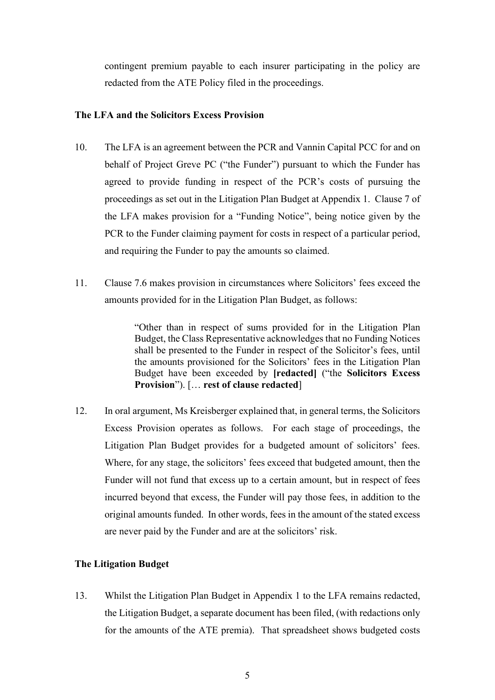contingent premium payable to each insurer participating in the policy are redacted from the ATE Policy filed in the proceedings.

## **The LFA and the Solicitors Excess Provision**

- 10. The LFA is an agreement between the PCR and Vannin Capital PCC for and on behalf of Project Greve PC ("the Funder") pursuant to which the Funder has agreed to provide funding in respect of the PCR's costs of pursuing the proceedings as set out in the Litigation Plan Budget at Appendix 1. Clause 7 of the LFA makes provision for a "Funding Notice", being notice given by the PCR to the Funder claiming payment for costs in respect of a particular period, and requiring the Funder to pay the amounts so claimed.
- 11. Clause 7.6 makes provision in circumstances where Solicitors' fees exceed the amounts provided for in the Litigation Plan Budget, as follows:

"Other than in respect of sums provided for in the Litigation Plan Budget, the Class Representative acknowledges that no Funding Notices shall be presented to the Funder in respect of the Solicitor's fees, until the amounts provisioned for the Solicitors' fees in the Litigation Plan Budget have been exceeded by **[redacted]** ("the **Solicitors Excess Provision**"). [… **rest of clause redacted**]

12. In oral argument, Ms Kreisberger explained that, in general terms, the Solicitors Excess Provision operates as follows. For each stage of proceedings, the Litigation Plan Budget provides for a budgeted amount of solicitors' fees. Where, for any stage, the solicitors' fees exceed that budgeted amount, then the Funder will not fund that excess up to a certain amount, but in respect of fees incurred beyond that excess, the Funder will pay those fees, in addition to the original amounts funded. In other words, fees in the amount of the stated excess are never paid by the Funder and are at the solicitors' risk.

# **The Litigation Budget**

13. Whilst the Litigation Plan Budget in Appendix 1 to the LFA remains redacted, the Litigation Budget, a separate document has been filed, (with redactions only for the amounts of the ATE premia). That spreadsheet shows budgeted costs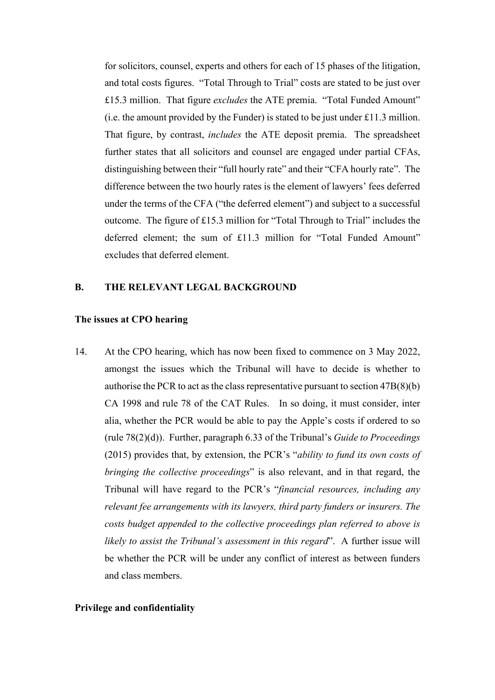for solicitors, counsel, experts and others for each of 15 phases of the litigation, and total costs figures. "Total Through to Trial" costs are stated to be just over £15.3 million. That figure *excludes* the ATE premia. "Total Funded Amount" (i.e. the amount provided by the Funder) is stated to be just under £11.3 million. That figure, by contrast, *includes* the ATE deposit premia. The spreadsheet further states that all solicitors and counsel are engaged under partial CFAs, distinguishing between their "full hourly rate" and their "CFA hourly rate". The difference between the two hourly rates is the element of lawyers' fees deferred under the terms of the CFA ("the deferred element") and subject to a successful outcome. The figure of £15.3 million for "Total Through to Trial" includes the deferred element; the sum of £11.3 million for "Total Funded Amount" excludes that deferred element.

## **B. THE RELEVANT LEGAL BACKGROUND**

#### **The issues at CPO hearing**

14. At the CPO hearing, which has now been fixed to commence on 3 May 2022, amongst the issues which the Tribunal will have to decide is whether to authorise the PCR to act as the class representative pursuant to section 47B(8)(b) CA 1998 and rule 78 of the CAT Rules. In so doing, it must consider, inter alia, whether the PCR would be able to pay the Apple's costs if ordered to so (rule 78(2)(d)). Further, paragraph 6.33 of the Tribunal's *Guide to Proceedings* (2015) provides that, by extension, the PCR's "*ability to fund its own costs of bringing the collective proceedings*" is also relevant, and in that regard, the Tribunal will have regard to the PCR's "*financial resources, including any relevant fee arrangements with its lawyers, third party funders or insurers. The costs budget appended to the collective proceedings plan referred to above is likely to assist the Tribunal's assessment in this regard*". A further issue will be whether the PCR will be under any conflict of interest as between funders and class members.

### **Privilege and confidentiality**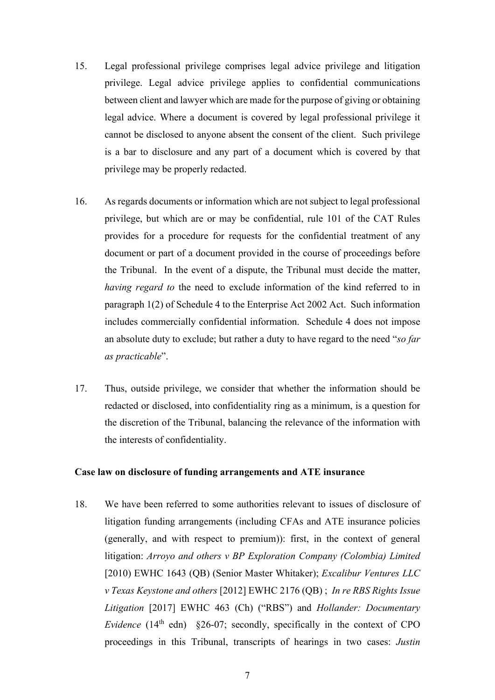- 15. Legal professional privilege comprises legal advice privilege and litigation privilege. Legal advice privilege applies to confidential communications between client and lawyer which are made for the purpose of giving or obtaining legal advice. Where a document is covered by legal professional privilege it cannot be disclosed to anyone absent the consent of the client. Such privilege is a bar to disclosure and any part of a document which is covered by that privilege may be properly redacted.
- 16. As regards documents or information which are not subject to legal professional privilege, but which are or may be confidential, rule 101 of the CAT Rules provides for a procedure for requests for the confidential treatment of any document or part of a document provided in the course of proceedings before the Tribunal. In the event of a dispute, the Tribunal must decide the matter, *having regard to* the need to exclude information of the kind referred to in paragraph 1(2) of Schedule 4 to the Enterprise Act 2002 Act. Such information includes commercially confidential information. Schedule 4 does not impose an absolute duty to exclude; but rather a duty to have regard to the need "*so far as practicable*".
- 17. Thus, outside privilege, we consider that whether the information should be redacted or disclosed, into confidentiality ring as a minimum, is a question for the discretion of the Tribunal, balancing the relevance of the information with the interests of confidentiality.

### **Case law on disclosure of funding arrangements and ATE insurance**

18. We have been referred to some authorities relevant to issues of disclosure of litigation funding arrangements (including CFAs and ATE insurance policies (generally, and with respect to premium)): first, in the context of general litigation: *Arroyo and others v BP Exploration Company (Colombia) Limited*  [2010) EWHC 1643 (QB) (Senior Master Whitaker); *Excalibur Ventures LLC v Texas Keystone and others* [2012] EWHC 2176 (QB) ; *In re RBS Rights Issue Litigation* [2017] EWHC 463 (Ch) ("RBS") and *Hollander: Documentary Evidence* (14<sup>th</sup> edn) §26-07; secondly, specifically in the context of CPO proceedings in this Tribunal, transcripts of hearings in two cases: *Justin*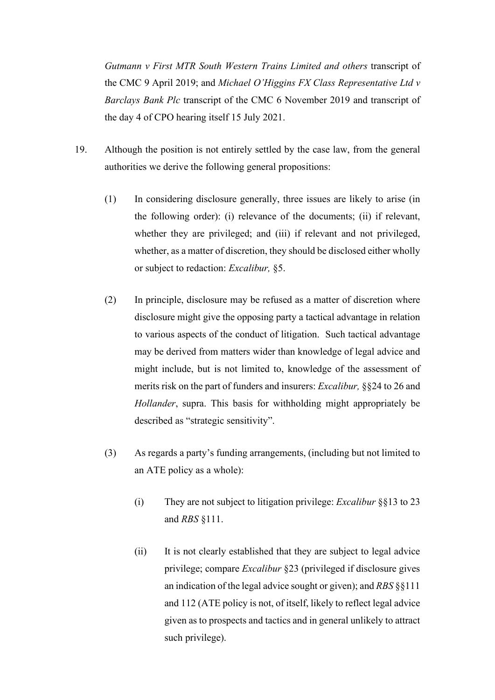*Gutmann v First MTR South Western Trains Limited and others* transcript of the CMC 9 April 2019; and *Michael O'Higgins FX Class Representative Ltd v Barclays Bank Plc* transcript of the CMC 6 November 2019 and transcript of the day 4 of CPO hearing itself 15 July 2021.

- 19. Although the position is not entirely settled by the case law, from the general authorities we derive the following general propositions:
	- (1) In considering disclosure generally, three issues are likely to arise (in the following order): (i) relevance of the documents; (ii) if relevant, whether they are privileged; and (iii) if relevant and not privileged, whether, as a matter of discretion, they should be disclosed either wholly or subject to redaction: *Excalibur,* §5.
	- (2) In principle, disclosure may be refused as a matter of discretion where disclosure might give the opposing party a tactical advantage in relation to various aspects of the conduct of litigation. Such tactical advantage may be derived from matters wider than knowledge of legal advice and might include, but is not limited to, knowledge of the assessment of merits risk on the part of funders and insurers: *Excalibur,* §§24 to 26 and *Hollander*, supra. This basis for withholding might appropriately be described as "strategic sensitivity".
	- (3) As regards a party's funding arrangements, (including but not limited to an ATE policy as a whole):
		- (i) They are not subject to litigation privilege: *Excalibur* §§13 to 23 and *RBS* §111.
		- (ii) It is not clearly established that they are subject to legal advice privilege; compare *Excalibur* §23 (privileged if disclosure gives an indication of the legal advice sought or given); and *RBS* §§111 and 112 (ATE policy is not, of itself, likely to reflect legal advice given as to prospects and tactics and in general unlikely to attract such privilege).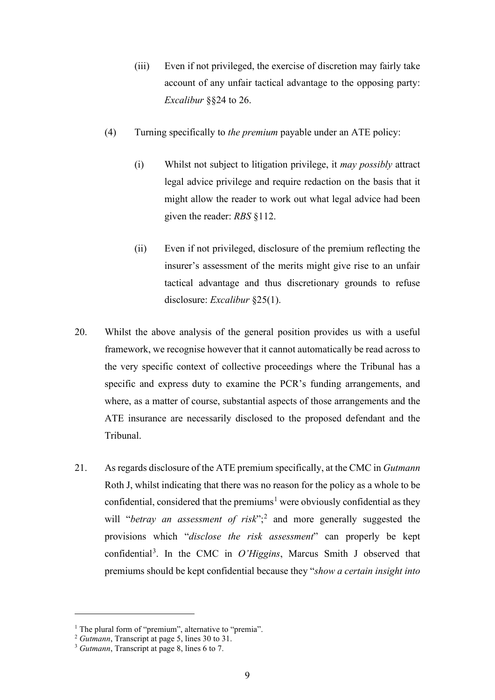- (iii) Even if not privileged, the exercise of discretion may fairly take account of any unfair tactical advantage to the opposing party: *Excalibur* §§24 to 26.
- (4) Turning specifically to *the premium* payable under an ATE policy:
	- (i) Whilst not subject to litigation privilege, it *may possibly* attract legal advice privilege and require redaction on the basis that it might allow the reader to work out what legal advice had been given the reader: *RBS* §112.
	- (ii) Even if not privileged, disclosure of the premium reflecting the insurer's assessment of the merits might give rise to an unfair tactical advantage and thus discretionary grounds to refuse disclosure: *Excalibur* §25(1).
- 20. Whilst the above analysis of the general position provides us with a useful framework, we recognise however that it cannot automatically be read across to the very specific context of collective proceedings where the Tribunal has a specific and express duty to examine the PCR's funding arrangements, and where, as a matter of course, substantial aspects of those arrangements and the ATE insurance are necessarily disclosed to the proposed defendant and the Tribunal.
- 21. As regards disclosure of the ATE premium specifically, at the CMC in *Gutmann* Roth J, whilst indicating that there was no reason for the policy as a whole to be confidential, considered that the premiums<sup>1</sup> were obviously confidential as they will "*betray an assessment of risk*";<sup>2</sup> and more generally suggested the provisions which "*disclose the risk assessment*" can properly be kept confidential<sup>3</sup>. In the CMC in *O'Higgins*, Marcus Smith J observed that premiums should be kept confidential because they "*show a certain insight into*

<sup>&</sup>lt;sup>1</sup> The plural form of "premium", alternative to "premia".<br><sup>2</sup> *Gutmann*, Transcript at page 5, lines 30 to 31.

<sup>&</sup>lt;sup>3</sup> *Gutmann*, Transcript at page 8, lines 6 to 7.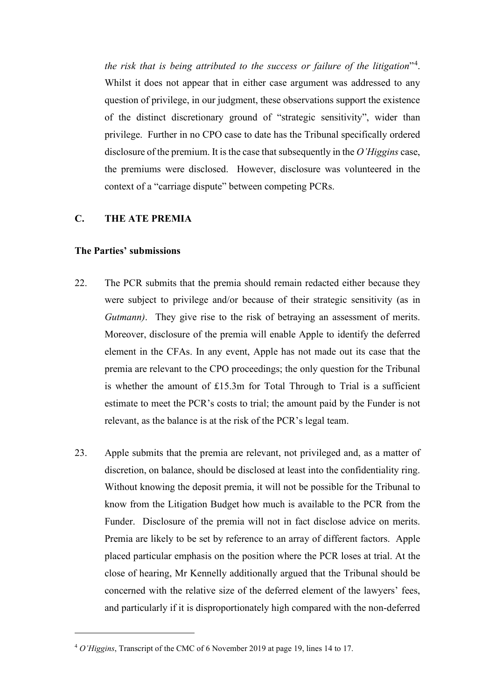*the risk that is being attributed to the success or failure of the litigation*"<sup>4</sup> . Whilst it does not appear that in either case argument was addressed to any question of privilege, in our judgment, these observations support the existence of the distinct discretionary ground of "strategic sensitivity", wider than privilege. Further in no CPO case to date has the Tribunal specifically ordered disclosure of the premium. It is the case that subsequently in the *O'Higgins* case, the premiums were disclosed. However, disclosure was volunteered in the context of a "carriage dispute" between competing PCRs.

## **C. THE ATE PREMIA**

#### **The Parties' submissions**

- 22. The PCR submits that the premia should remain redacted either because they were subject to privilege and/or because of their strategic sensitivity (as in *Gutmann*). They give rise to the risk of betraying an assessment of merits. Moreover, disclosure of the premia will enable Apple to identify the deferred element in the CFAs. In any event, Apple has not made out its case that the premia are relevant to the CPO proceedings; the only question for the Tribunal is whether the amount of £15.3m for Total Through to Trial is a sufficient estimate to meet the PCR's costs to trial; the amount paid by the Funder is not relevant, as the balance is at the risk of the PCR's legal team.
- 23. Apple submits that the premia are relevant, not privileged and, as a matter of discretion, on balance, should be disclosed at least into the confidentiality ring. Without knowing the deposit premia, it will not be possible for the Tribunal to know from the Litigation Budget how much is available to the PCR from the Funder. Disclosure of the premia will not in fact disclose advice on merits. Premia are likely to be set by reference to an array of different factors. Apple placed particular emphasis on the position where the PCR loses at trial. At the close of hearing, Mr Kennelly additionally argued that the Tribunal should be concerned with the relative size of the deferred element of the lawyers' fees, and particularly if it is disproportionately high compared with the non-deferred

<sup>4</sup> *O'Higgins*, Transcript of the CMC of 6 November 2019 at page 19, lines 14 to 17.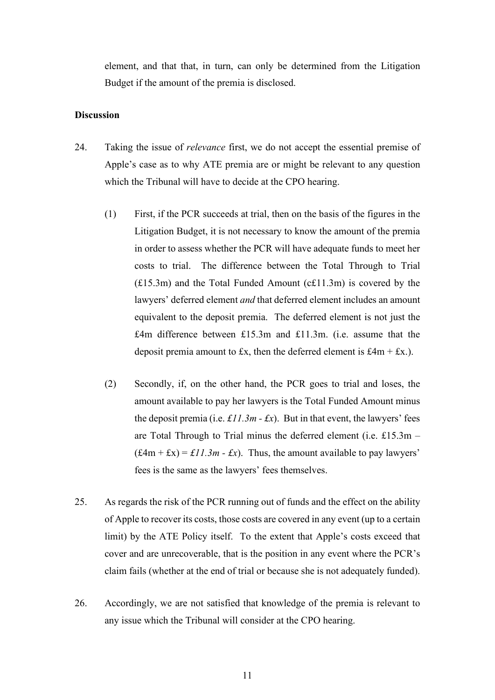element, and that that, in turn, can only be determined from the Litigation Budget if the amount of the premia is disclosed.

### **Discussion**

- 24. Taking the issue of *relevance* first, we do not accept the essential premise of Apple's case as to why ATE premia are or might be relevant to any question which the Tribunal will have to decide at the CPO hearing.
	- (1) First, if the PCR succeeds at trial, then on the basis of the figures in the Litigation Budget, it is not necessary to know the amount of the premia in order to assess whether the PCR will have adequate funds to meet her costs to trial. The difference between the Total Through to Trial (£15.3m) and the Total Funded Amount (c£11.3m) is covered by the lawyers' deferred element *and* that deferred element includes an amount equivalent to the deposit premia. The deferred element is not just the £4m difference between £15.3m and £11.3m. (i.e. assume that the deposit premia amount to £x, then the deferred element is  $£4m + £x.$ ).
	- (2) Secondly, if, on the other hand, the PCR goes to trial and loses, the amount available to pay her lawyers is the Total Funded Amount minus the deposit premia (i.e.  $\angle$  *£11.3m - £x*). But in that event, the lawyers' fees are Total Through to Trial minus the deferred element (i.e. £15.3m –  $(f 4m + fx) = f 11.3m - fx$ . Thus, the amount available to pay lawyers' fees is the same as the lawyers' fees themselves.
- 25. As regards the risk of the PCR running out of funds and the effect on the ability of Apple to recover its costs, those costs are covered in any event (up to a certain limit) by the ATE Policy itself. To the extent that Apple's costs exceed that cover and are unrecoverable, that is the position in any event where the PCR's claim fails (whether at the end of trial or because she is not adequately funded).
- 26. Accordingly, we are not satisfied that knowledge of the premia is relevant to any issue which the Tribunal will consider at the CPO hearing.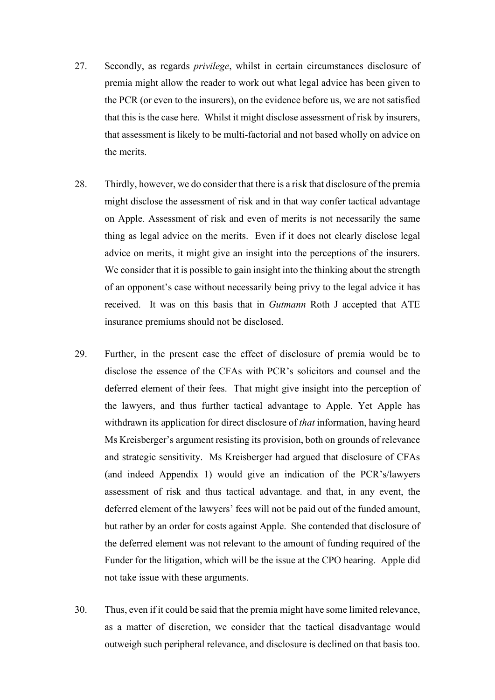- 27. Secondly, as regards *privilege*, whilst in certain circumstances disclosure of premia might allow the reader to work out what legal advice has been given to the PCR (or even to the insurers), on the evidence before us, we are not satisfied that this is the case here. Whilst it might disclose assessment of risk by insurers, that assessment is likely to be multi-factorial and not based wholly on advice on the merits.
- 28. Thirdly, however, we do consider that there is a risk that disclosure of the premia might disclose the assessment of risk and in that way confer tactical advantage on Apple. Assessment of risk and even of merits is not necessarily the same thing as legal advice on the merits. Even if it does not clearly disclose legal advice on merits, it might give an insight into the perceptions of the insurers. We consider that it is possible to gain insight into the thinking about the strength of an opponent's case without necessarily being privy to the legal advice it has received. It was on this basis that in *Gutmann* Roth J accepted that ATE insurance premiums should not be disclosed.
- 29. Further, in the present case the effect of disclosure of premia would be to disclose the essence of the CFAs with PCR's solicitors and counsel and the deferred element of their fees. That might give insight into the perception of the lawyers, and thus further tactical advantage to Apple. Yet Apple has withdrawn its application for direct disclosure of *that* information, having heard Ms Kreisberger's argument resisting its provision, both on grounds of relevance and strategic sensitivity. Ms Kreisberger had argued that disclosure of CFAs (and indeed Appendix 1) would give an indication of the PCR's/lawyers assessment of risk and thus tactical advantage. and that, in any event, the deferred element of the lawyers' fees will not be paid out of the funded amount, but rather by an order for costs against Apple. She contended that disclosure of the deferred element was not relevant to the amount of funding required of the Funder for the litigation, which will be the issue at the CPO hearing. Apple did not take issue with these arguments.
- 30. Thus, even if it could be said that the premia might have some limited relevance, as a matter of discretion, we consider that the tactical disadvantage would outweigh such peripheral relevance, and disclosure is declined on that basis too.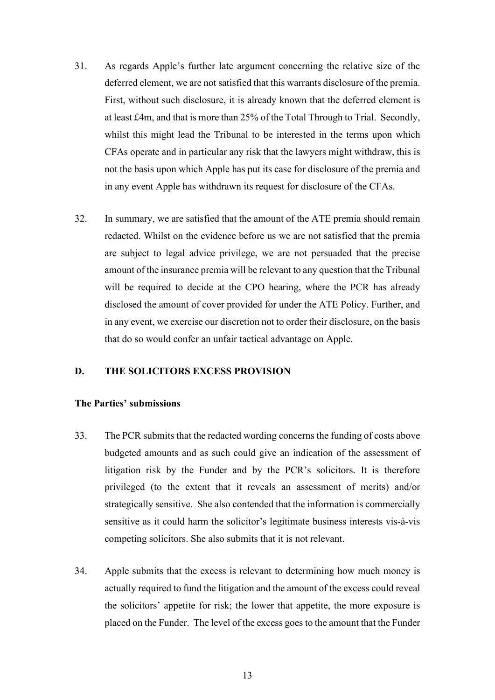- 31. As regards Apple's further late argument concerning the relative size of the deferred element, we are not satisfied that this warrants disclosure of the premia. First, without such disclosure, it is already known that the deferred element is at least £4m, and that is more than 25% of the Total Through to Trial. Secondly, whilst this might lead the Tribunal to be interested in the terms upon which CFAs operate and in particular any risk that the lawyers might withdraw, this is not the basis upon which Apple has put its case for disclosure of the premia and in any event Apple has withdrawn its request for disclosure of the CFAs.
- 32. In summary, we are satisfied that the amount of the ATE premia should remain redacted. Whilst on the evidence before us we are not satisfied that the premia are subject to legal advice privilege, we are not persuaded that the precise amount of the insurance premia will be relevant to any question that the Tribunal will be required to decide at the CPO hearing, where the PCR has already disclosed the amount of cover provided for under the ATE Policy. Further, and in any event, we exercise our discretion not to order their disclosure, on the basis that do so would confer an unfair tactical advantage on Apple.

### **D. THE SOLICITORS EXCESS PROVISION**

#### **The Parties' submissions**

- 33. The PCR submits that the redacted wording concerns the funding of costs above budgeted amounts and as such could give an indication of the assessment of litigation risk by the Funder and by the PCR's solicitors. It is therefore privileged (to the extent that it reveals an assessment of merits) and/or strategically sensitive. She also contended that the information is commercially sensitive as it could harm the solicitor's legitimate business interests vis-à-vis competing solicitors. She also submits that it is not relevant.
- 34. Apple submits that the excess is relevant to determining how much money is actually required to fund the litigation and the amount of the excess could reveal the solicitors' appetite for risk; the lower that appetite, the more exposure is placed on the Funder. The level of the excess goes to the amount that the Funder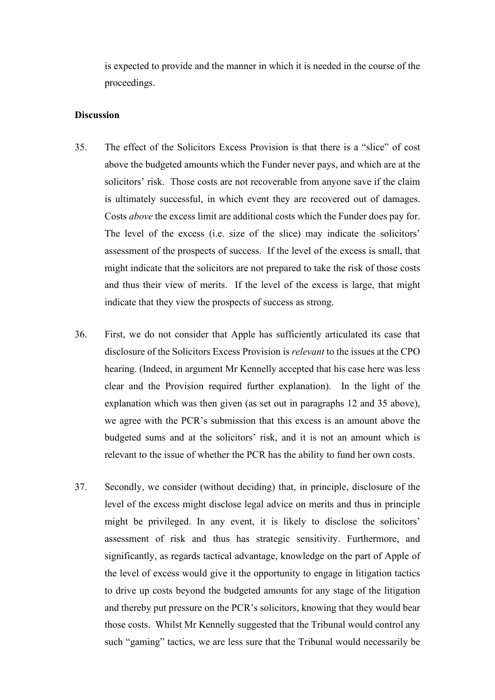is expected to provide and the manner in which it is needed in the course of the proceedings.

### **Discussion**

- 35. The effect of the Solicitors Excess Provision is that there is a "slice" of cost above the budgeted amounts which the Funder never pays, and which are at the solicitors' risk. Those costs are not recoverable from anyone save if the claim is ultimately successful, in which event they are recovered out of damages. Costs *above* the excess limit are additional costs which the Funder does pay for. The level of the excess (i.e. size of the slice) may indicate the solicitors' assessment of the prospects of success. If the level of the excess is small, that might indicate that the solicitors are not prepared to take the risk of those costs and thus their view of merits. If the level of the excess is large, that might indicate that they view the prospects of success as strong.
- 36. First, we do not consider that Apple has sufficiently articulated its case that disclosure of the Solicitors Excess Provision is *relevant* to the issues at the CPO hearing. (Indeed, in argument Mr Kennelly accepted that his case here was less clear and the Provision required further explanation). In the light of the explanation which was then given (as set out in paragraphs 12 and 35 above), we agree with the PCR's submission that this excess is an amount above the budgeted sums and at the solicitors' risk, and it is not an amount which is relevant to the issue of whether the PCR has the ability to fund her own costs.
- 37. Secondly, we consider (without deciding) that, in principle, disclosure of the level of the excess might disclose legal advice on merits and thus in principle might be privileged. In any event, it is likely to disclose the solicitors' assessment of risk and thus has strategic sensitivity. Furthermore, and significantly, as regards tactical advantage, knowledge on the part of Apple of the level of excess would give it the opportunity to engage in litigation tactics to drive up costs beyond the budgeted amounts for any stage of the litigation and thereby put pressure on the PCR's solicitors, knowing that they would bear those costs. Whilst Mr Kennelly suggested that the Tribunal would control any such "gaming" tactics, we are less sure that the Tribunal would necessarily be